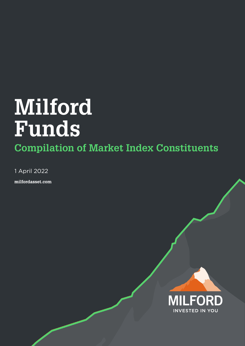# **Milford Funds**

## **Compilation of Market Index Constituents**

1 April 2022

milfordasset.com

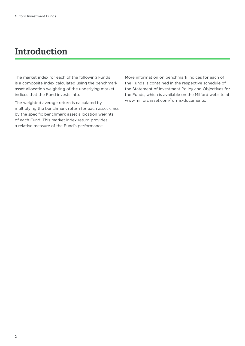### **Introduction**

The market index for each of the following Funds is a composite index calculated using the benchmark asset allocation weighting of the underlying market indices that the Fund invests into.

The weighted average return is calculated by multiplying the benchmark return for each asset class by the specific benchmark asset allocation weights of each Fund. This market index return provides a relative measure of the Fund's performance.

More information on benchmark indices for each of the Funds is contained in the respective schedule of the Statement of Investment Policy and Objectives for the Funds, which is available on the Milford website at www.milfordasset.com/forms-documents.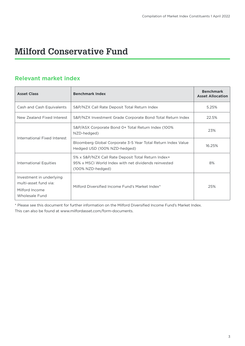### **Milford Conservative Fund**

#### **Relevant market index**

| <b>Asset Class</b>                                                                    | <b>Benchmark Index</b>                                                                                                          | <b>Benchmark</b><br><b>Asset Allocation</b> |
|---------------------------------------------------------------------------------------|---------------------------------------------------------------------------------------------------------------------------------|---------------------------------------------|
| Cash and Cash Equivalents                                                             | S&P/NZX Call Rate Deposit Total Return Index                                                                                    | 5.25%                                       |
| New Zealand Fixed Interest                                                            | S&P/NZX Investment Grade Corporate Bond Total Return Index                                                                      | 22.5%                                       |
|                                                                                       | S&P/ASX Corporate Bond 0+ Total Return Index (100%<br>NZD-hedged)                                                               | 23%                                         |
| International Fixed Interest                                                          | Bloomberg Global Corporate 3-5 Year Total Return Index Value<br>Hedged USD (100% NZD-hedged)                                    | 16.25%                                      |
| <b>International Equities</b>                                                         | 5% x S&P/NZX Call Rate Deposit Total Return Index+<br>95% x MSCL World Index with net dividends reinvested<br>(100% NZD-hedged) | 8%                                          |
| Investment in underlying<br>multi-asset fund via:<br>Milford Income<br>Wholesale Fund | Milford Diversified Income Fund's Market Index*                                                                                 | 25%                                         |

\* Please see this document for further information on the Milford Diversified Income Fund's Market Index. This can also be found at www.milfordasset.com/form-documents.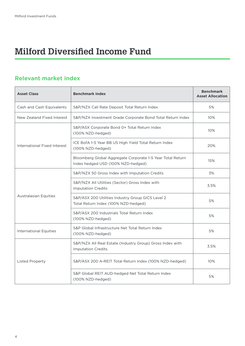### **Milford Diversified Income Fund**

| <b>Asset Class</b>            | <b>Benchmark Index</b>                                                                           | <b>Benchmark</b><br><b>Asset Allocation</b> |
|-------------------------------|--------------------------------------------------------------------------------------------------|---------------------------------------------|
| Cash and Cash Equivalents     | S&P/NZX Call Rate Deposit Total Return Index                                                     | 5%                                          |
| New Zealand Fixed Interest    | S&P/NZX Investment Grade Corporate Bond Total Return Index                                       | 10%                                         |
|                               | S&P/ASX Corporate Bond 0+ Total Return Index<br>(100% NZD-hedged)                                | 10%                                         |
| International Fixed Interest  | ICE BofA 1-5 Year BB US High Yield Total Return Index<br>(100% NZD-hedged)                       | 20%                                         |
|                               | Bloomberg Global Aggregate Corporate 1-5 Year Total Return<br>Index hedged USD (100% NZD-hedged) | 15%                                         |
|                               | S&P/NZX 50 Gross Index with Imputation Credits                                                   | 3%                                          |
| <b>Australasian Equities</b>  | S&P/NZX All Utilities (Sector) Gross Index with<br><b>Imputation Credits</b>                     | 3.5%                                        |
|                               | S&P/ASX 200 Utilities Industry Group GICS Level 2<br>Total Return Index (100% NZD-hedged)        | 5%                                          |
|                               | S&P/ASX 200 Industrials Total Return Index<br>(100% NZD-hedged)                                  | 5%                                          |
| <b>International Equities</b> | S&P Global Infrastructure Net Total Return Index<br>(100% NZD-hedged)                            | 5%                                          |
| <b>Listed Property</b>        | S&P/NZX All Real Estate (Industry Group) Gross Index with<br><b>Imputation Credits</b>           | 3.5%                                        |
|                               | S&P/ASX 200 A-REIT Total Return Index (100% NZD-hedged)                                          | 10%                                         |
|                               | S&P Global REIT AUD-hedged Net Total Return Index<br>(100% NZD-hedged)                           | 5%                                          |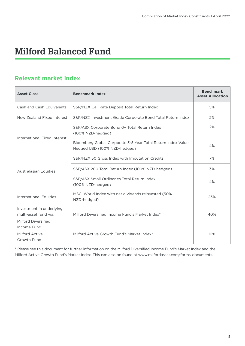### **Milford Balanced Fund**

#### **Relevant market index**

| <b>Asset Class</b>                                                       | <b>Benchmark Index</b>                                                                       | <b>Benchmark</b><br><b>Asset Allocation</b> |
|--------------------------------------------------------------------------|----------------------------------------------------------------------------------------------|---------------------------------------------|
| Cash and Cash Equivalents                                                | S&P/NZX Call Rate Deposit Total Return Index                                                 | 5%                                          |
| New Zealand Fixed Interest                                               | S&P/NZX Investment Grade Corporate Bond Total Return Index                                   | 2%                                          |
| International Fixed Interest                                             | S&P/ASX Corporate Bond 0+ Total Return Index<br>(100% NZD-hedged)                            | 2%                                          |
|                                                                          | Bloomberg Global Corporate 3-5 Year Total Return Index Value<br>Hedged USD (100% NZD-hedged) | 4%                                          |
|                                                                          | S&P/NZX 50 Gross Index with Imputation Credits                                               | 7%                                          |
| <b>Australasian Equities</b>                                             | S&P/ASX 200 Total Return Index (100% NZD-hedged)                                             | 3%                                          |
|                                                                          | S&P/ASX Small Ordinaries Total Return Index<br>(100% NZD-hedged)                             | 4%                                          |
| <b>International Equities</b>                                            | MSCI World Index with net dividends reinvested (50%<br>NZD-hedged)                           | 23%                                         |
| Investment in underlying<br>multi-asset fund via:<br>Milford Diversified | Milford Diversified Income Fund's Market Index*                                              | 40%                                         |
| Income Fund<br><b>Milford Active</b><br>Growth Fund                      | Milford Active Growth Fund's Market Index*                                                   | 10%                                         |

\* Please see this document for further information on the Milford Diversified Income Fund's Market Index and the Milford Active Growth Fund's Market Index. This can also be found at www.milfordasset.com/forms-documents.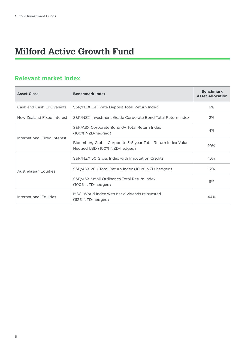### **Milford Active Growth Fund**

| <b>Asset Class</b>           | <b>Benchmark Index</b>                                                                       | <b>Benchmark</b><br><b>Asset Allocation</b> |
|------------------------------|----------------------------------------------------------------------------------------------|---------------------------------------------|
| Cash and Cash Equivalents    | S&P/NZX Call Rate Deposit Total Return Index                                                 | 6%                                          |
| New Zealand Fixed Interest   | S&P/NZX Investment Grade Corporate Bond Total Return Index                                   | 2%                                          |
|                              | S&P/ASX Corporate Bond 0+ Total Return Index<br>(100% NZD-hedged)                            | 4%                                          |
| International Fixed Interest | Bloomberg Global Corporate 3-5 year Total Return Index Value<br>Hedged USD (100% NZD-hedged) | 10%                                         |
|                              | S&P/NZX 50 Gross Index with Imputation Credits                                               | 16%                                         |
| <b>Australasian Equities</b> | S&P/ASX 200 Total Return Index (100% NZD-hedged)                                             | 12%                                         |
|                              | S&P/ASX Small Ordinaries Total Return Index<br>(100% NZD-hedged)                             | 6%                                          |
| International Equities       | MSCL World Index with net dividends reinvested<br>(63% NZD-hedged)                           | 44%                                         |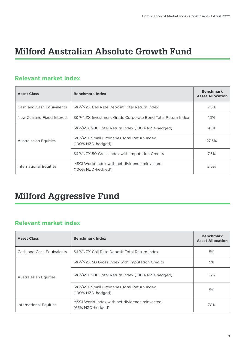### **Milford Australian Absolute Growth Fund**

#### **Relevant market index**

| <b>Asset Class</b>           | <b>Benchmark Index</b>                                              | <b>Benchmark</b><br><b>Asset Allocation</b> |
|------------------------------|---------------------------------------------------------------------|---------------------------------------------|
| Cash and Cash Equivalents    | S&P/NZX Call Rate Deposit Total Return Index                        | 7.5%                                        |
| New Zealand Fixed Interest   | S&P/NZX Investment Grade Corporate Bond Total Return Index          | 10%                                         |
| <b>Australasian Equities</b> | S&P/ASX 200 Total Return Index (100% NZD-hedged)                    | 45%                                         |
|                              | S&P/ASX Small Ordinaries Total Return Index<br>(100% NZD-hedged)    | 27.5%                                       |
|                              | S&P/NZX 50 Gross Index with Imputation Credits                      | 7.5%                                        |
| International Equities       | MSCI World Index with net dividends reinvested<br>(100% NZD-hedged) | 2.5%                                        |

### **Milford Aggressive Fund**

| <b>Asset Class</b>           | <b>Benchmark Index</b>                                             | <b>Benchmark</b><br><b>Asset Allocation</b> |
|------------------------------|--------------------------------------------------------------------|---------------------------------------------|
| Cash and Cash Equivalents    | S&P/NZX Call Rate Deposit Total Return Index                       | 5%                                          |
|                              | S&P/NZX 50 Gross Index with Imputation Credits                     | 5%                                          |
| <b>Australasian Equities</b> | S&P/ASX 200 Total Return Index (100% NZD-hedged)                   | 15%                                         |
|                              | S&P/ASX Small Ordinaries Total Return Index<br>(100% NZD-hedged)   | 5%                                          |
| International Equities       | MSCI World Index with net dividends reinvested<br>(65% NZD-hedged) | 70%                                         |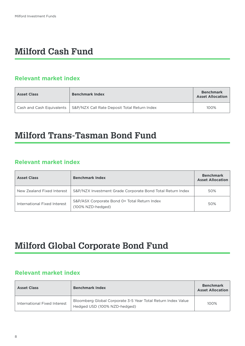### **Milford Cash Fund**

#### **Relevant market index**

| <b>Asset Class</b> | <b>Benchmark Index</b>                                                   | <b>Benchmark</b><br><b>Asset Allocation</b> |
|--------------------|--------------------------------------------------------------------------|---------------------------------------------|
|                    | Cash and Cash Equivalents   S&P/NZX Call Rate Deposit Total Return Index | 100%                                        |

#### **Milford Trans-Tasman Bond Fund**

#### **Relevant market index**

| <b>Asset Class</b>           | <b>Benchmark Index</b>                                            | <b>Benchmark</b><br><b>Asset Allocation</b> |
|------------------------------|-------------------------------------------------------------------|---------------------------------------------|
| New Zealand Fixed Interest   | S&P/NZX Investment Grade Corporate Bond Total Return Index        | 50%                                         |
| International Fixed Interest | S&P/ASX Corporate Bond 0+ Total Return Index<br>(100% NZD-hedged) | 50%                                         |

### **Milford Global Corporate Bond Fund**

| <b>Asset Class</b>           | <b>Benchmark Index</b>                                                                       | <b>Benchmark</b><br><b>Asset Allocation</b> |
|------------------------------|----------------------------------------------------------------------------------------------|---------------------------------------------|
| International Fixed Interest | Bloomberg Global Corporate 3-5 Year Total Return Index Value<br>Hedged USD (100% NZD-hedged) | 100%                                        |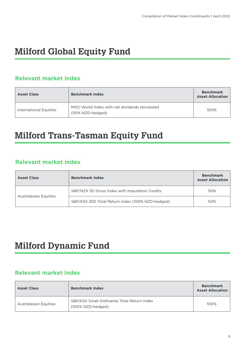### **Milford Global Equity Fund**

#### **Relevant market index**

| <b>Asset Class</b>     | <b>Benchmark Index</b>                                             | <b>Benchmark</b><br><b>Asset Allocation</b> |
|------------------------|--------------------------------------------------------------------|---------------------------------------------|
| International Equities | MSCI World Index with net dividends reinvested<br>(50% NZD-hedged) | 100%                                        |

### **Milford Trans-Tasman Equity Fund**

#### **Relevant market index**

| <b>Asset Class</b>           | <b>Benchmark Index</b>                           | <b>Benchmark</b><br><b>Asset Allocation</b> |
|------------------------------|--------------------------------------------------|---------------------------------------------|
| <b>Australasian Equities</b> | S&P/NZX 50 Gross Index with Imputation Credits   | 50%                                         |
|                              | S&P/ASX 200 Total Return Index (100% NZD-hedged) | 50%                                         |

### **Milford Dynamic Fund**

| <b>Asset Class</b>           | <b>Benchmark Index</b>                                           | <b>Benchmark</b><br><b>Asset Allocation</b> |
|------------------------------|------------------------------------------------------------------|---------------------------------------------|
| <b>Australasian Equities</b> | S&P/ASX Small Ordinaries Total Return Index<br>(100% NZD-hedged) | 100%                                        |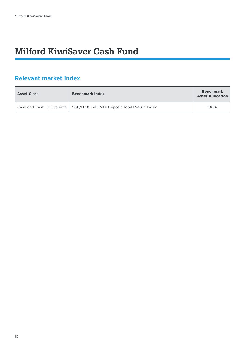### **Milford KiwiSaver Cash Fund**

| <b>Asset Class</b>        | <b>Benchmark Index</b>                       | <b>Benchmark</b><br><b>Asset Allocation</b> |
|---------------------------|----------------------------------------------|---------------------------------------------|
| Cash and Cash Equivalents | S&P/NZX Call Rate Deposit Total Return Index | 100%                                        |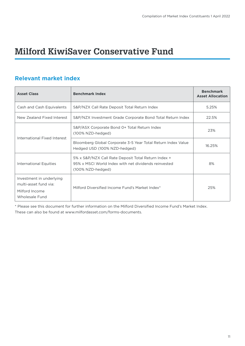### **Milford KiwiSaver Conservative Fund**

#### **Relevant market index**

| <b>Asset Class</b>                                                                    | <b>Benchmark Index</b>                                                                                                           | <b>Benchmark</b><br><b>Asset Allocation</b> |
|---------------------------------------------------------------------------------------|----------------------------------------------------------------------------------------------------------------------------------|---------------------------------------------|
| Cash and Cash Equivalents                                                             | S&P/NZX Call Rate Deposit Total Return Index                                                                                     | 5.25%                                       |
| New Zealand Fixed Interest                                                            | S&P/NZX Investment Grade Corporate Bond Total Return Index                                                                       | 22.5%                                       |
| International Fixed Interest                                                          | S&P/ASX Corporate Bond 0+ Total Return Index<br>(100% NZD-hedged)                                                                | 23%                                         |
|                                                                                       | Bloomberg Global Corporate 3-5 Year Total Return Index Value<br>Hedged USD (100% NZD-hedged)                                     | 16.25%                                      |
| <b>International Equities</b>                                                         | 5% x S&P/NZX Call Rate Deposit Total Return Index +<br>95% x MSCL World Index with net dividends reinvested<br>(100% NZD-hedged) | 8%                                          |
| Investment in underlying<br>multi-asset fund via:<br>Milford Income<br>Wholesale Fund | Milford Diversified Income Fund's Market Index*                                                                                  | 25%                                         |

\* Please see this document for further information on the Milford Diversified Income Fund's Market Index. These can also be found at www.milfordasset.com/forms-documents.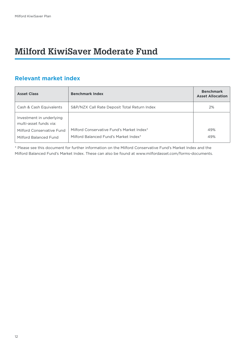### **Milford KiwiSaver Moderate Fund**

#### **Relevant market index**

| <b>Asset Class</b>                                 | <b>Benchmark Index</b>                       | <b>Benchmark</b><br><b>Asset Allocation</b> |
|----------------------------------------------------|----------------------------------------------|---------------------------------------------|
| Cash & Cash Equivalents                            | S&P/NZX Call Rate Deposit Total Return Index | 2%                                          |
| Investment in underlying<br>multi-asset funds via: |                                              |                                             |
| Milford Conservative Fund                          | Milford Conservative Fund's Market Index*    | 49%                                         |
| Milford Balanced Fund                              | Milford Balanced Fund's Market Index*        | 49%                                         |

\* Please see this document for further information on the Milford Conservative Fund's Market Index and the Milford Balanced Fund's Market Index. These can also be found at www.milfordasset.com/forms-documents.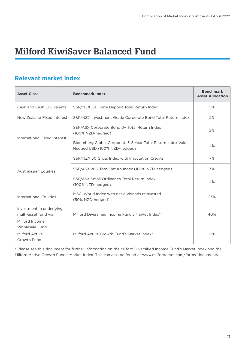### **Milford KiwiSaver Balanced Fund**

#### **Relevant market index**

| <b>Asset Class</b>                                                  | <b>Benchmark Index</b>                                                                       | <b>Benchmark</b><br><b>Asset Allocation</b> |
|---------------------------------------------------------------------|----------------------------------------------------------------------------------------------|---------------------------------------------|
| Cash and Cash Equivalents                                           | S&P/NZX Call Rate Deposit Total Return Index                                                 | 5%                                          |
| New Zealand Fixed Interest                                          | S&P/NZX Investment Grade Corporate Bond Total Return Index                                   | 2%                                          |
| International Fixed Interest                                        | S&P/ASX Corporate Bond 0+ Total Return Index<br>(100% NZD-hedged)                            | 2%                                          |
|                                                                     | Bloomberg Global Corporate 3-5 Year Total Return Index Value<br>Hedged USD (100% NZD-hedged) | 4%                                          |
| <b>Australasian Equities</b>                                        | S&P/NZX 50 Gross Index with Imputation Credits                                               | 7%                                          |
|                                                                     | S&P/ASX 200 Total Return Index (100% NZD-hedged)                                             | 3%                                          |
|                                                                     | S&P/ASX Small Ordinaries Total Return Index<br>(100% NZD-hedged)                             | 4%                                          |
| <b>International Equities</b>                                       | MSCI World Index with net dividends reinvested<br>(50% NZD-hedged)                           | 23%                                         |
| Investment in underlying<br>multi-asset fund via:<br>Milford Income | Milford Diversified Income Fund's Market Index*                                              | 40%                                         |
| <b>Wholesale Fund</b><br>Milford Active<br>Growth Fund              | Milford Active Growth Fund's Market Index*                                                   | 10%                                         |

\* Please see this document for further information on the Milford Diversified Income Fund's Market Index and the Milford Active Growth Fund's Market Index. This can also be found at www.milfordasset.com/forms-documents.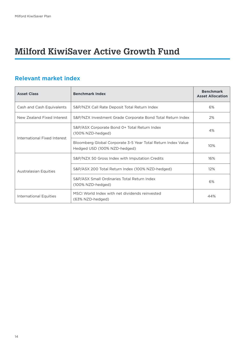### **Milford KiwiSaver Active Growth Fund**

| <b>Asset Class</b>           | <b>Benchmark Index</b>                                                                       | <b>Benchmark</b><br><b>Asset Allocation</b> |
|------------------------------|----------------------------------------------------------------------------------------------|---------------------------------------------|
| Cash and Cash Equivalents    | S&P/NZX Call Rate Deposit Total Return Index                                                 | 6%                                          |
| New Zealand Fixed Interest   | S&P/NZX Investment Grade Corporate Bond Total Return Index                                   | 2%                                          |
| International Fixed Interest | S&P/ASX Corporate Bond 0+ Total Return Index<br>(100% NZD-hedged)                            | 4%                                          |
|                              | Bloomberg Global Corporate 3-5 Year Total Return Index Value<br>Hedged USD (100% NZD-hedged) | 10%                                         |
| <b>Australasian Equities</b> | S&P/NZX 50 Gross Index with Imputation Credits                                               | 16%                                         |
|                              | S&P/ASX 200 Total Return Index (100% NZD-hedged)                                             | 12%                                         |
|                              | S&P/ASX Small Ordinaries Total Return Index<br>(100% NZD-hedged)                             | 6%                                          |
| International Equities       | MSCL World Index with net dividends reinvested<br>(63% NZD-hedged)                           | 44%                                         |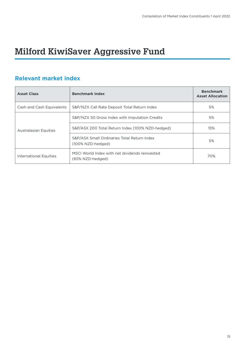### **Milford KiwiSaver Aggressive Fund**

| <b>Asset Class</b>           | <b>Benchmark Index</b>                                             | <b>Benchmark</b><br><b>Asset Allocation</b> |
|------------------------------|--------------------------------------------------------------------|---------------------------------------------|
| Cash and Cash Equivalents    | S&P/NZX Call Rate Deposit Total Return Index                       | 5%                                          |
| <b>Australasian Equities</b> | S&P/NZX 50 Gross Index with Imputation Credits                     | 5%                                          |
|                              | S&P/ASX 200 Total Return Index (100% NZD-hedged)                   | 15%                                         |
|                              | S&P/ASX Small Ordinaries Total Return Index<br>(100% NZD-hedged)   | 5%                                          |
| International Equities       | MSCI World Index with net dividends reinvested<br>(65% NZD-hedged) | 70%                                         |